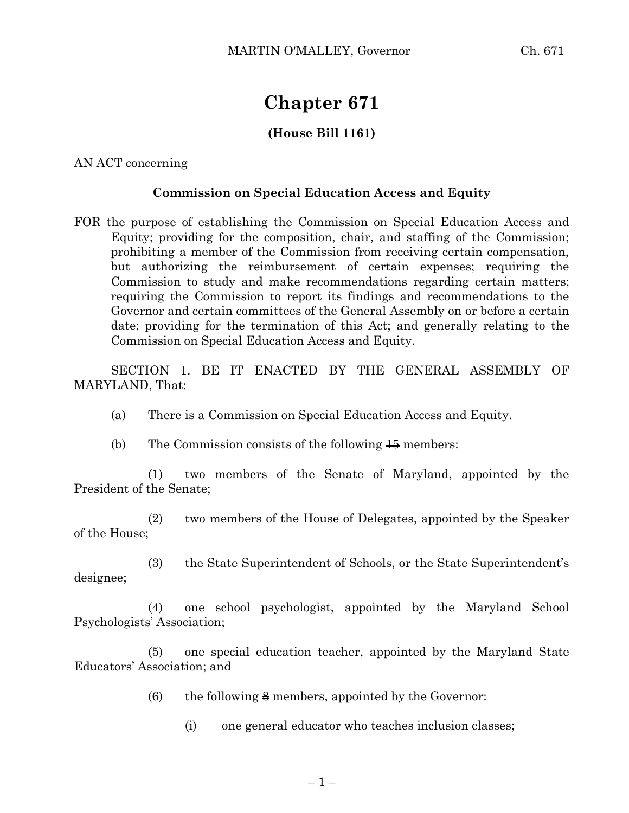## **Chapter 671**

## **(House Bill 1161)**

AN ACT concerning

## **Commission on Special Education Access and Equity**

FOR the purpose of establishing the Commission on Special Education Access and Equity; providing for the composition, chair, and staffing of the Commission; prohibiting a member of the Commission from receiving certain compensation, but authorizing the reimbursement of certain expenses; requiring the Commission to study and make recommendations regarding certain matters; requiring the Commission to report its findings and recommendations to the Governor and certain committees of the General Assembly on or before a certain date; providing for the termination of this Act; and generally relating to the Commission on Special Education Access and Equity.

SECTION 1. BE IT ENACTED BY THE GENERAL ASSEMBLY OF MARYLAND, That:

- (a) There is a Commission on Special Education Access and Equity.
- (b) The Commission consists of the following  $\frac{15}{15}$  members:

(1) two members of the Senate of Maryland, appointed by the President of the Senate;

(2) two members of the House of Delegates, appointed by the Speaker of the House;

(3) the State Superintendent of Schools, or the State Superintendent's designee;

(4) one school psychologist, appointed by the Maryland School Psychologists' Association;

(5) one special education teacher, appointed by the Maryland State Educators' Association; and

- (6) the following  $\frac{2}{5}$  members, appointed by the Governor:
	- (i) one general educator who teaches inclusion classes;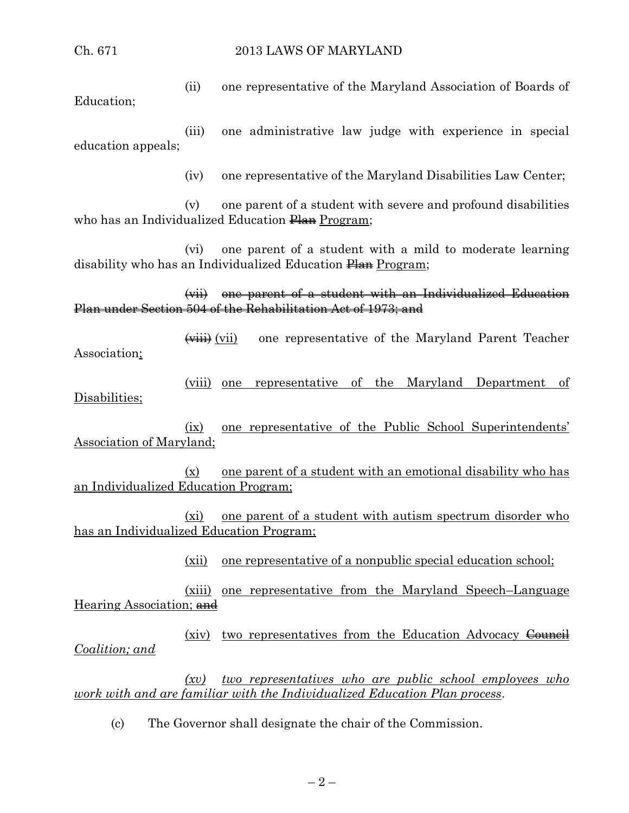## Ch. 671 2013 LAWS OF MARYLAND

(ii) one representative of the Maryland Association of Boards of Education;

(iii) one administrative law judge with experience in special education appeals;

(iv) one representative of the Maryland Disabilities Law Center;

(v) one parent of a student with severe and profound disabilities who has an Individualized Education Plan Program;

(vi) one parent of a student with a mild to moderate learning disability who has an Individualized Education Plan Program;

(vii) one parent of a student with an Individualized Education Plan under Section 504 of the Rehabilitation Act of 1973; and

(viii) (vii) one representative of the Maryland Parent Teacher Association;

(viii) one representative of the Maryland Department of Disabilities;

(ix) one representative of the Public School Superintendents' Association of Maryland;

(x) one parent of a student with an emotional disability who has an Individualized Education Program;

(xi) one parent of a student with autism spectrum disorder who has an Individualized Education Program;

(xii) one representative of a nonpublic special education school;

(xiii) one representative from the Maryland Speech–Language Hearing Association; and

(xiv) two representatives from the Education Advocacy Council *Coalition; and*

*(xv) two representatives who are public school employees who work with and are familiar with the Individualized Education Plan process*.

(c) The Governor shall designate the chair of the Commission.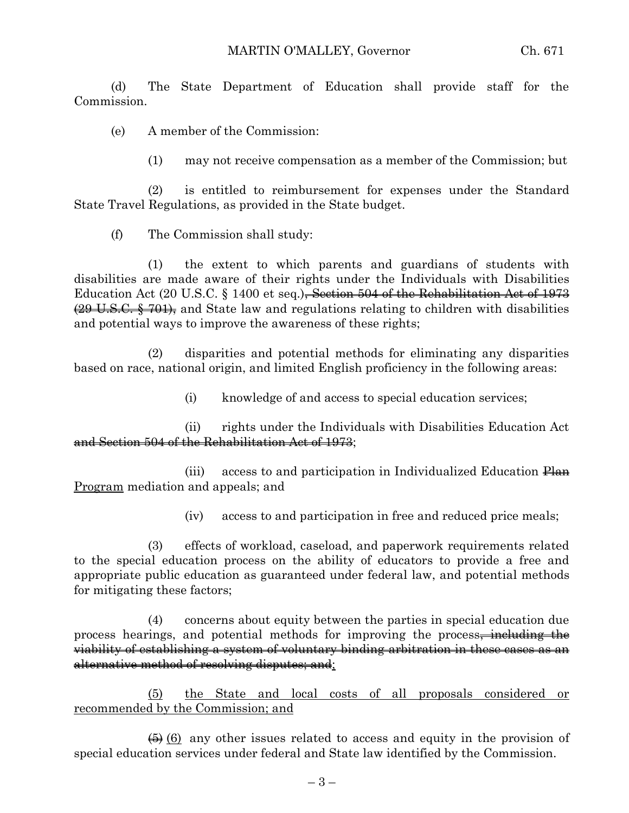(d) The State Department of Education shall provide staff for the Commission.

(e) A member of the Commission:

(1) may not receive compensation as a member of the Commission; but

(2) is entitled to reimbursement for expenses under the Standard State Travel Regulations, as provided in the State budget.

(f) The Commission shall study:

(1) the extent to which parents and guardians of students with disabilities are made aware of their rights under the Individuals with Disabilities Education Act (20 U.S.C.  $\S$  1400 et seq.)<del>, Section 504 of the Rehabilitation Act of 1973</del> (29 U.S.C. § 701), and State law and regulations relating to children with disabilities and potential ways to improve the awareness of these rights;

(2) disparities and potential methods for eliminating any disparities based on race, national origin, and limited English proficiency in the following areas:

(i) knowledge of and access to special education services;

(ii) rights under the Individuals with Disabilities Education Act and Section 504 of the Rehabilitation Act of 1973;

(iii) access to and participation in Individualized Education Plan Program mediation and appeals; and

(iv) access to and participation in free and reduced price meals;

(3) effects of workload, caseload, and paperwork requirements related to the special education process on the ability of educators to provide a free and appropriate public education as guaranteed under federal law, and potential methods for mitigating these factors;

(4) concerns about equity between the parties in special education due process hearings, and potential methods for improving the process, including the viability of establishing a system of voluntary binding arbitration in these cases as an alternative method of resolving disputes; and;

(5) the State and local costs of all proposals considered or recommended by the Commission; and

 $\left(\frac{1}{2}\right)$  (6) any other issues related to access and equity in the provision of special education services under federal and State law identified by the Commission.